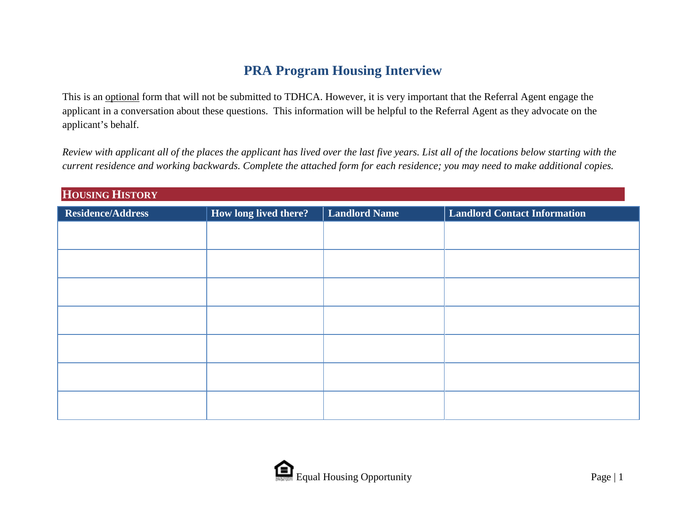## **PRA Program Housing Interview**

This is an optional form that will not be submitted to TDHCA. However, it is very important that the Referral Agent engage the applicant in a conversation about these questions. This information will be helpful to the Referral Agent as they advocate on the applicant's behalf.

*Review with applicant all of the places the applicant has lived over the last five years. List all of the locations below starting with the current residence and working backwards. Complete the attached form for each residence; you may need to make additional copies.* 

| HOUSING HISTORY          |                       |                      |                                     |
|--------------------------|-----------------------|----------------------|-------------------------------------|
| <b>Residence/Address</b> | How long lived there? | <b>Landlord Name</b> | <b>Landlord Contact Information</b> |
|                          |                       |                      |                                     |
|                          |                       |                      |                                     |
|                          |                       |                      |                                     |
|                          |                       |                      |                                     |
|                          |                       |                      |                                     |
|                          |                       |                      |                                     |
|                          |                       |                      |                                     |
|                          |                       |                      |                                     |